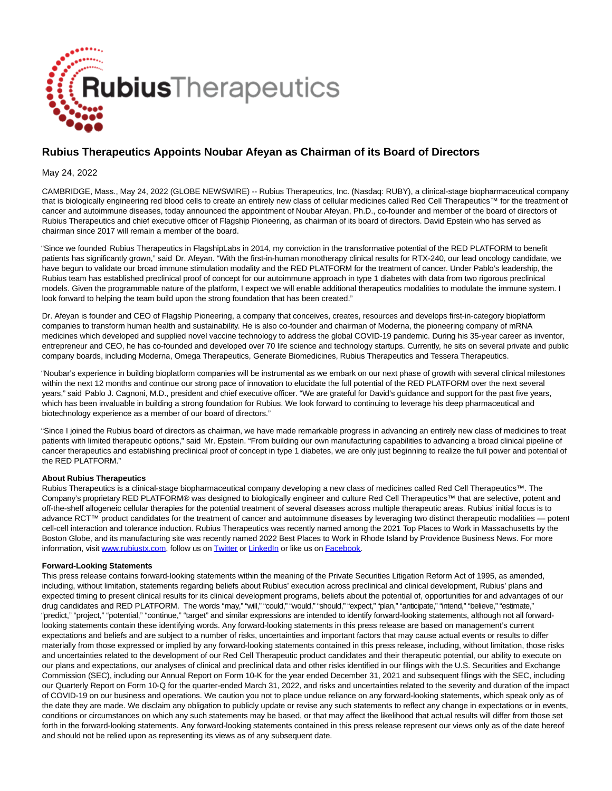

## **Rubius Therapeutics Appoints Noubar Afeyan as Chairman of its Board of Directors**

May 24, 2022

CAMBRIDGE, Mass., May 24, 2022 (GLOBE NEWSWIRE) -- Rubius Therapeutics, Inc. (Nasdaq: RUBY), a clinical-stage biopharmaceutical company that is biologically engineering red blood cells to create an entirely new class of cellular medicines called Red Cell Therapeutics™ for the treatment of cancer and autoimmune diseases, today announced the appointment of Noubar Afeyan, Ph.D., co-founder and member of the board of directors of Rubius Therapeutics and chief executive officer of Flagship Pioneering, as chairman of its board of directors. David Epstein who has served as chairman since 2017 will remain a member of the board.

"Since we founded Rubius Therapeutics in FlagshipLabs in 2014, my conviction in the transformative potential of the RED PLATFORM to benefit patients has significantly grown," said Dr. Afeyan. "With the first-in-human monotherapy clinical results for RTX-240, our lead oncology candidate, we have begun to validate our broad immune stimulation modality and the RED PLATFORM for the treatment of cancer. Under Pablo's leadership, the Rubius team has established preclinical proof of concept for our autoimmune approach in type 1 diabetes with data from two rigorous preclinical models. Given the programmable nature of the platform, I expect we will enable additional therapeutics modalities to modulate the immune system. I look forward to helping the team build upon the strong foundation that has been created."

Dr. Afeyan is founder and CEO of Flagship Pioneering, a company that conceives, creates, resources and develops first-in-category bioplatform companies to transform human health and sustainability. He is also co-founder and chairman of Moderna, the pioneering company of mRNA medicines which developed and supplied novel vaccine technology to address the global COVID-19 pandemic. During his 35-year career as inventor, entrepreneur and CEO, he has co-founded and developed over 70 life science and technology startups. Currently, he sits on several private and public company boards, including Moderna, Omega Therapeutics, Generate Biomedicines, Rubius Therapeutics and Tessera Therapeutics.

"Noubar's experience in building bioplatform companies will be instrumental as we embark on our next phase of growth with several clinical milestones within the next 12 months and continue our strong pace of innovation to elucidate the full potential of the RED PLATFORM over the next several years," said Pablo J. Cagnoni, M.D., president and chief executive officer. "We are grateful for David's guidance and support for the past five years, which has been invaluable in building a strong foundation for Rubius. We look forward to continuing to leverage his deep pharmaceutical and biotechnology experience as a member of our board of directors."

"Since I joined the Rubius board of directors as chairman, we have made remarkable progress in advancing an entirely new class of medicines to treat patients with limited therapeutic options," said Mr. Epstein. "From building our own manufacturing capabilities to advancing a broad clinical pipeline of cancer therapeutics and establishing preclinical proof of concept in type 1 diabetes, we are only just beginning to realize the full power and potential of the RED PLATFORM."

## **About Rubius Therapeutics**

Rubius Therapeutics is a clinical-stage biopharmaceutical company developing a new class of medicines called Red Cell Therapeutics™. The Company's proprietary RED PLATFORM® was designed to biologically engineer and culture Red Cell Therapeutics™ that are selective, potent and off-the-shelf allogeneic cellular therapies for the potential treatment of several diseases across multiple therapeutic areas. Rubius' initial focus is to advance RCT™ product candidates for the treatment of cancer and autoimmune diseases by leveraging two distinct therapeutic modalities — potent cell-cell interaction and tolerance induction. Rubius Therapeutics was recently named among the 2021 Top Places to Work in Massachusetts by the Boston Globe, and its manufacturing site was recently named 2022 Best Places to Work in Rhode Island by Providence Business News. For more information, visit [www.rubiustx.com,](https://www.globenewswire.com/Tracker?data=rit2GfJVNdneHHCTYQPKO34AuW2I3q9jYypdvTiOY2MKbJWU0pcYjmKparBOBn_L65graHNUbcsMpNioFSUYsA==) follow us o[n Twitter o](https://www.globenewswire.com/Tracker?data=Cx2TXY4nhsGCCP8RVDy-m8vPhmja1YpJ4XiZk4l7Ew4PUCVdcptc0LL9DsrCJsIVXlOInMWo2GFPNdnzApQ3Uw==)r [LinkedIn o](https://www.globenewswire.com/Tracker?data=W6sczAvmM9CMhnaSBPDGgYkXtwE5eTPPXyzS5G8g_k9wvUGiT1fcwDVn1Nzv1sRz2NbtmtVCBagxIgcp-txCA82xS6-td8VVPs3bzp_3soDH_pOCRbh5HKxYC9i9mYo1)r like us o[n Facebook.](https://www.globenewswire.com/Tracker?data=6KQBam7tlVjBz0tyX2tuVXjRNYhs0T_D1HR0AetXcxtfQ--e6PNZcgQHAsa7CSWvFMEBMOV6p2y77kb18i-RMA==)

## **Forward-Looking Statements**

This press release contains forward-looking statements within the meaning of the Private Securities Litigation Reform Act of 1995, as amended, including, without limitation, statements regarding beliefs about Rubius' execution across preclinical and clinical development, Rubius' plans and expected timing to present clinical results for its clinical development programs, beliefs about the potential of, opportunities for and advantages of our drug candidates and RED PLATFORM. The words "may," "will," "could," "would," "should," "expect," "plan," "anticipate," "intend," "believe," "estimate," "predict," "project," "potential," "continue," "target" and similar expressions are intended to identify forward-looking statements, although not all forwardlooking statements contain these identifying words. Any forward-looking statements in this press release are based on management's current expectations and beliefs and are subject to a number of risks, uncertainties and important factors that may cause actual events or results to differ materially from those expressed or implied by any forward-looking statements contained in this press release, including, without limitation, those risks and uncertainties related to the development of our Red Cell Therapeutic product candidates and their therapeutic potential, our ability to execute on our plans and expectations, our analyses of clinical and preclinical data and other risks identified in our filings with the U.S. Securities and Exchange Commission (SEC), including our Annual Report on Form 10-K for the year ended December 31, 2021 and subsequent filings with the SEC, including our Quarterly Report on Form 10-Q for the quarter-ended March 31, 2022, and risks and uncertainties related to the severity and duration of the impact of COVID-19 on our business and operations. We caution you not to place undue reliance on any forward-looking statements, which speak only as of the date they are made. We disclaim any obligation to publicly update or revise any such statements to reflect any change in expectations or in events, conditions or circumstances on which any such statements may be based, or that may affect the likelihood that actual results will differ from those set forth in the forward-looking statements. Any forward-looking statements contained in this press release represent our views only as of the date hereof and should not be relied upon as representing its views as of any subsequent date.